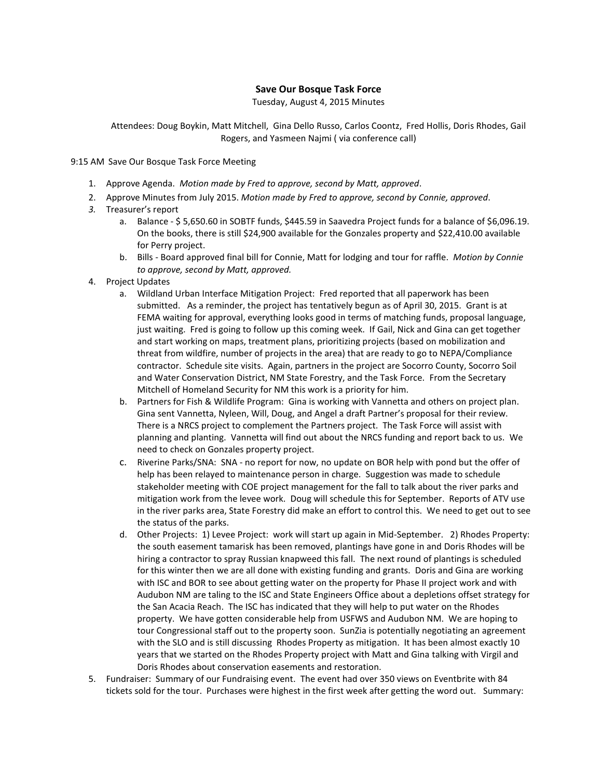## **Save Our Bosque Task Force**

Tuesday, August 4, 2015 Minutes

Attendees: Doug Boykin, Matt Mitchell, Gina Dello Russo, Carlos Coontz, Fred Hollis, Doris Rhodes, Gail Rogers, and Yasmeen Najmi ( via conference call)

9:15 AM Save Our Bosque Task Force Meeting

- 1. Approve Agenda. *Motion made by Fred to approve, second by Matt, approved*.
- 2. Approve Minutes from July 2015. *Motion made by Fred to approve, second by Connie, approved*.
- *3.* Treasurer's report
	- a. Balance \$ 5,650.60 in SOBTF funds, \$445.59 in Saavedra Project funds for a balance of \$6,096.19. On the books, there is still \$24,900 available for the Gonzales property and \$22,410.00 available for Perry project.
	- b. Bills Board approved final bill for Connie, Matt for lodging and tour for raffle. *Motion by Connie to approve, second by Matt, approved.*
- 4. Project Updates
	- a. Wildland Urban Interface Mitigation Project: Fred reported that all paperwork has been submitted. As a reminder, the project has tentatively begun as of April 30, 2015. Grant is at FEMA waiting for approval, everything looks good in terms of matching funds, proposal language, just waiting. Fred is going to follow up this coming week. If Gail, Nick and Gina can get together and start working on maps, treatment plans, prioritizing projects (based on mobilization and threat from wildfire, number of projects in the area) that are ready to go to NEPA/Compliance contractor. Schedule site visits. Again, partners in the project are Socorro County, Socorro Soil and Water Conservation District, NM State Forestry, and the Task Force. From the Secretary Mitchell of Homeland Security for NM this work is a priority for him.
	- b. Partners for Fish & Wildlife Program: Gina is working with Vannetta and others on project plan. Gina sent Vannetta, Nyleen, Will, Doug, and Angel a draft Partner's proposal for their review. There is a NRCS project to complement the Partners project. The Task Force will assist with planning and planting. Vannetta will find out about the NRCS funding and report back to us. We need to check on Gonzales property project.
	- c. Riverine Parks/SNA: SNA no report for now, no update on BOR help with pond but the offer of help has been relayed to maintenance person in charge. Suggestion was made to schedule stakeholder meeting with COE project management for the fall to talk about the river parks and mitigation work from the levee work. Doug will schedule this for September. Reports of ATV use in the river parks area, State Forestry did make an effort to control this. We need to get out to see the status of the parks.
	- d. Other Projects: 1) Levee Project: work will start up again in Mid-September. 2) Rhodes Property: the south easement tamarisk has been removed, plantings have gone in and Doris Rhodes will be hiring a contractor to spray Russian knapweed this fall. The next round of plantings is scheduled for this winter then we are all done with existing funding and grants. Doris and Gina are working with ISC and BOR to see about getting water on the property for Phase II project work and with Audubon NM are taling to the ISC and State Engineers Office about a depletions offset strategy for the San Acacia Reach. The ISC has indicated that they will help to put water on the Rhodes property. We have gotten considerable help from USFWS and Audubon NM. We are hoping to tour Congressional staff out to the property soon. SunZia is potentially negotiating an agreement with the SLO and is still discussing Rhodes Property as mitigation. It has been almost exactly 10 years that we started on the Rhodes Property project with Matt and Gina talking with Virgil and Doris Rhodes about conservation easements and restoration.
- 5. Fundraiser: Summary of our Fundraising event. The event had over 350 views on Eventbrite with 84 tickets sold for the tour. Purchases were highest in the first week after getting the word out. Summary: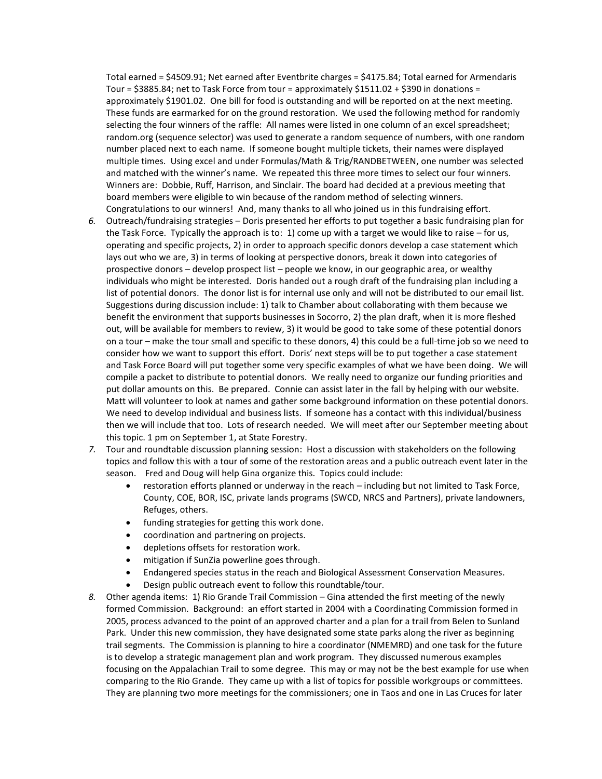Total earned = \$4509.91; Net earned after Eventbrite charges = \$4175.84; Total earned for Armendaris Tour =  $$3885.84$ ; net to Task Force from tour = approximately  $$1511.02 + $390$  in donations = approximately \$1901.02. One bill for food is outstanding and will be reported on at the next meeting. These funds are earmarked for on the ground restoration. We used the following method for randomly selecting the four winners of the raffle: All names were listed in one column of an excel spreadsheet; random.org (sequence selector) was used to generate a random sequence of numbers, with one random number placed next to each name. If someone bought multiple tickets, their names were displayed multiple times. Using excel and under Formulas/Math & Trig/RANDBETWEEN, one number was selected and matched with the winner's name. We repeated this three more times to select our four winners. Winners are: Dobbie, Ruff, Harrison, and Sinclair. The board had decided at a previous meeting that board members were eligible to win because of the random method of selecting winners. Congratulations to our winners! And, many thanks to all who joined us in this fundraising effort.

- *6.* Outreach/fundraising strategies Doris presented her efforts to put together a basic fundraising plan for the Task Force. Typically the approach is to: 1) come up with a target we would like to raise – for us, operating and specific projects, 2) in order to approach specific donors develop a case statement which lays out who we are, 3) in terms of looking at perspective donors, break it down into categories of prospective donors – develop prospect list – people we know, in our geographic area, or wealthy individuals who might be interested. Doris handed out a rough draft of the fundraising plan including a list of potential donors. The donor list is for internal use only and will not be distributed to our email list. Suggestions during discussion include: 1) talk to Chamber about collaborating with them because we benefit the environment that supports businesses in Socorro, 2) the plan draft, when it is more fleshed out, will be available for members to review, 3) it would be good to take some of these potential donors on a tour – make the tour small and specific to these donors, 4) this could be a full-time job so we need to consider how we want to support this effort. Doris' next steps will be to put together a case statement and Task Force Board will put together some very specific examples of what we have been doing. We will compile a packet to distribute to potential donors. We really need to organize our funding priorities and put dollar amounts on this. Be prepared. Connie can assist later in the fall by helping with our website. Matt will volunteer to look at names and gather some background information on these potential donors. We need to develop individual and business lists. If someone has a contact with this individual/business then we will include that too. Lots of research needed. We will meet after our September meeting about this topic. 1 pm on September 1, at State Forestry.
- *7.* Tour and roundtable discussion planning session: Host a discussion with stakeholders on the following topics and follow this with a tour of some of the restoration areas and a public outreach event later in the season. Fred and Doug will help Gina organize this. Topics could include:
	- restoration efforts planned or underway in the reach including but not limited to Task Force, County, COE, BOR, ISC, private lands programs (SWCD, NRCS and Partners), private landowners, Refuges, others.
	- funding strategies for getting this work done.
	- coordination and partnering on projects.
	- depletions offsets for restoration work.
	- mitigation if SunZia powerline goes through.
	- Endangered species status in the reach and Biological Assessment Conservation Measures.
	- Design public outreach event to follow this roundtable/tour.
- *8.* Other agenda items: 1) Rio Grande Trail Commission Gina attended the first meeting of the newly formed Commission. Background: an effort started in 2004 with a Coordinating Commission formed in 2005, process advanced to the point of an approved charter and a plan for a trail from Belen to Sunland Park. Under this new commission, they have designated some state parks along the river as beginning trail segments. The Commission is planning to hire a coordinator (NMEMRD) and one task for the future is to develop a strategic management plan and work program. They discussed numerous examples focusing on the Appalachian Trail to some degree. This may or may not be the best example for use when comparing to the Rio Grande. They came up with a list of topics for possible workgroups or committees. They are planning two more meetings for the commissioners; one in Taos and one in Las Cruces for later